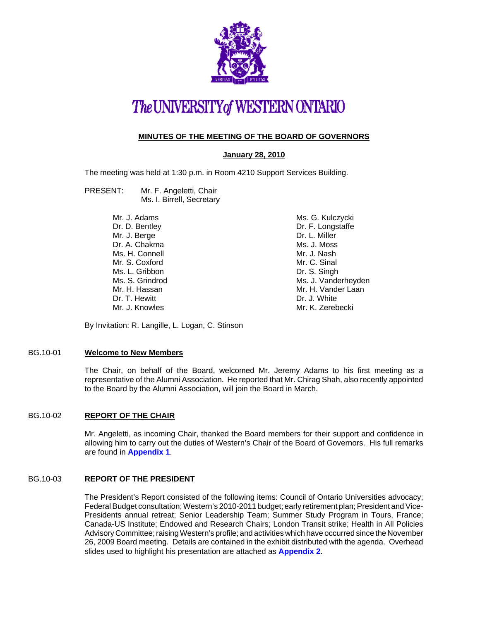

# The UNIVERSITY of WESTERN ONTARIO

# **MINUTES OF THE MEETING OF THE BOARD OF GOVERNORS**

# **January 28, 2010**

The meeting was held at 1:30 p.m. in Room 4210 Support Services Building.

- PRESENT: Mr. F. Angeletti, Chair Ms. I. Birrell, Secretary
	- Mr. J. Adams Dr. D. Bentley Mr. J. Berge Dr. A. Chakma Ms. H. Connell Mr. S. Coxford Ms. L. Gribbon Ms. S. Grindrod Mr. H. Hassan Dr. T. Hewitt Mr. J. Knowles

Ms. G. Kulczycki Dr. F. Longstaffe Dr. L. Miller Ms. J. Moss Mr. J. Nash Mr. C. Sinal Dr. S. Singh Ms. J. Vanderheyden Mr. H. Vander Laan Dr. J. White Mr. K. Zerebecki

By Invitation: R. Langille, L. Logan, C. Stinson

#### BG.10-01 **Welcome to New Members**

The Chair, on behalf of the Board, welcomed Mr. Jeremy Adams to his first meeting as a representative of the Alumni Association. He reported that Mr. Chirag Shah, also recently appointed to the Board by the Alumni Association, will join the Board in March.

# BG.10-02 **REPORT OF THE CHAIR**

Mr. Angeletti, as incoming Chair, thanked the Board members for their support and confidence in allowing him to carry out the duties of Western's Chair of the Board of Governors. His full remarks are found in **[Appendix 1](#page-3-0)**.

# BG.10-03 **REPORT OF THE PRESIDENT**

The President's Report consisted of the following items: Council of Ontario Universities advocacy; Federal Budget consultation; Western's 2010-2011 budget; early retirement plan; President and Vice-Presidents annual retreat; Senior Leadership Team; Summer Study Program in Tours, France; Canada-US Institute; Endowed and Research Chairs; London Transit strike; Health in All Policies Advisory Committee; raising Western's profile; and activities which have occurred since the November 26, 2009 Board meeting. Details are contained in the exhibit distributed with the agenda. Overhead slides used to highlight his presentation are attached as **[Appendix 2](#page-5-0)**.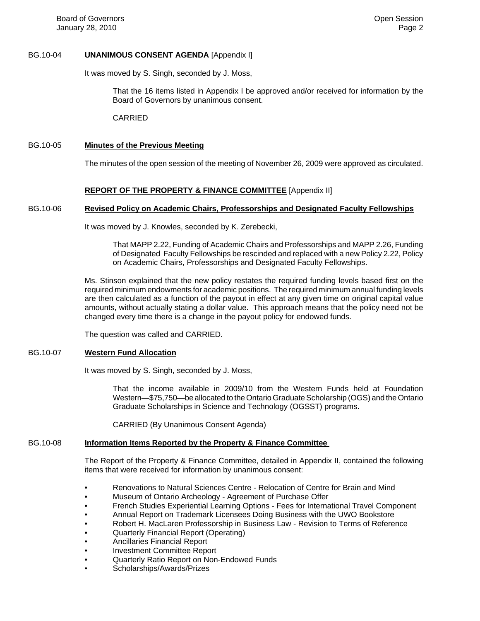# BG.10-04 **UNANIMOUS CONSENT AGENDA** [Appendix I]

It was moved by S. Singh, seconded by J. Moss,

That the 16 items listed in Appendix I be approved and/or received for information by the Board of Governors by unanimous consent.

CARRIED

# BG.10-05 **Minutes of the Previous Meeting**

The minutes of the open session of the meeting of November 26, 2009 were approved as circulated.

# **REPORT OF THE PROPERTY & FINANCE COMMITTEE** [Appendix II]

# BG.10-06 **Revised Policy on Academic Chairs, Professorships and Designated Faculty Fellowships**

It was moved by J. Knowles, seconded by K. Zerebecki,

That MAPP 2.22, Funding of Academic Chairs and Professorships and MAPP 2.26, Funding of Designated Faculty Fellowships be rescinded and replaced with a new Policy 2.22, Policy on Academic Chairs, Professorships and Designated Faculty Fellowships.

Ms. Stinson explained that the new policy restates the required funding levels based first on the required minimum endowments for academic positions. The required minimum annual funding levels are then calculated as a function of the payout in effect at any given time on original capital value amounts, without actually stating a dollar value. This approach means that the policy need not be changed every time there is a change in the payout policy for endowed funds.

The question was called and CARRIED.

# BG.10-07 **Western Fund Allocation**

It was moved by S. Singh, seconded by J. Moss,

That the income available in 2009/10 from the Western Funds held at Foundation Western—\$75,750—be allocated to the Ontario Graduate Scholarship (OGS) and the Ontario Graduate Scholarships in Science and Technology (OGSST) programs.

CARRIED (By Unanimous Consent Agenda)

# BG.10-08 **Information Items Reported by the Property & Finance Committee**

The Report of the Property & Finance Committee, detailed in Appendix II, contained the following items that were received for information by unanimous consent:

- Renovations to Natural Sciences Centre Relocation of Centre for Brain and Mind
- Museum of Ontario Archeology Agreement of Purchase Offer
- French Studies Experiential Learning Options Fees for International Travel Component
- Annual Report on Trademark Licensees Doing Business with the UWO Bookstore
- Robert H. MacLaren Professorship in Business Law Revision to Terms of Reference
- Quarterly Financial Report (Operating)
- Ancillaries Financial Report
- Investment Committee Report
- Quarterly Ratio Report on Non-Endowed Funds
- Scholarships/Awards/Prizes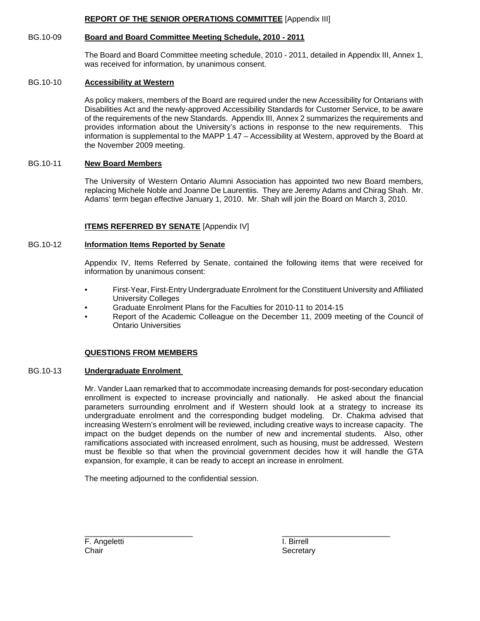# **REPORT OF THE SENIOR OPERATIONS COMMITTEE** [Appendix III]

# BG.10-09 **Board and Board Committee Meeting Schedule, 2010 - 2011**

The Board and Board Committee meeting schedule, 2010 - 2011, detailed in Appendix III, Annex 1, was received for information, by unanimous consent.

# BG.10-10 **Accessibility at Western**

As policy makers, members of the Board are required under the new Accessibility for Ontarians with Disabilities Act and the newly-approved Accessibility Standards for Customer Service, to be aware of the requirements of the new Standards. Appendix III, Annex 2 summarizes the requirements and provides information about the University's actions in response to the new requirements. This information is supplemental to the MAPP 1.47 – Accessibility at Western, approved by the Board at the November 2009 meeting.

# BG.10-11 **New Board Members**

The University of Western Ontario Alumni Association has appointed two new Board members, replacing Michele Noble and Joanne De Laurentiis. They are Jeremy Adams and Chirag Shah. Mr. Adams' term began effective January 1, 2010. Mr. Shah will join the Board on March 3, 2010.

# **ITEMS REFERRED BY SENATE** [Appendix IV]

# BG.10-12 **Information Items Reported by Senate**

Appendix IV, Items Referred by Senate, contained the following items that were received for information by unanimous consent:

- First-Year, First-Entry Undergraduate Enrolment for the Constituent University and Affiliated University Colleges
- Graduate Enrolment Plans for the Faculties for 2010-11 to 2014-15
- Report of the Academic Colleague on the December 11, 2009 meeting of the Council of Ontario Universities

# **QUESTIONS FROM MEMBERS**

# BG.10-13 **Undergraduate Enrolment**

Mr. Vander Laan remarked that to accommodate increasing demands for post-secondary education enrollment is expected to increase provincially and nationally. He asked about the financial parameters surrounding enrolment and if Western should look at a strategy to increase its undergraduate enrolment and the corresponding budget modeling. Dr. Chakma advised that increasing Western's enrolment will be reviewed, including creative ways to increase capacity. The impact on the budget depends on the number of new and incremental students. Also, other ramifications associated with increased enrolment, such as housing, must be addressed. Western must be flexible so that when the provincial government decides how it will handle the GTA expansion, for example, it can be ready to accept an increase in enrolment.

\_\_\_\_\_\_\_\_\_\_\_\_\_\_\_\_\_\_\_\_\_\_\_\_\_ \_\_\_\_\_\_\_\_\_\_\_\_\_\_\_\_\_\_\_\_\_\_\_\_\_

The meeting adjourned to the confidential session.

F. Angeletti **I. Birrell** Chair Secretary Chair Secretary Secretary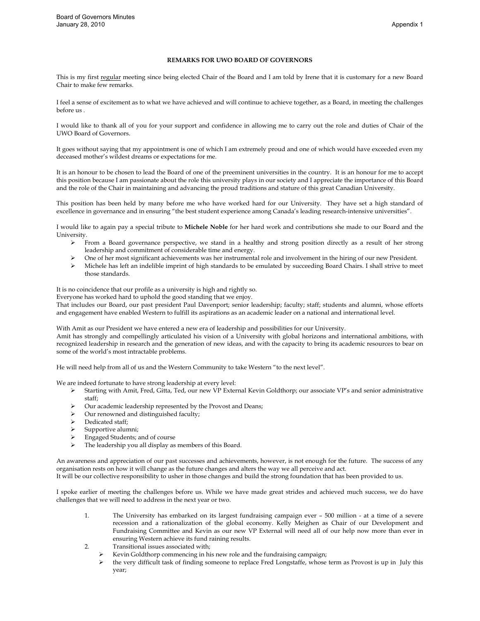#### **REMARKS FOR UWO BOARD OF GOVERNORS**

<span id="page-3-0"></span>This is my first regular meeting since being elected Chair of the Board and I am told by Irene that it is customary for a new Board Chair to make few remarks.

I feel a sense of excitement as to what we have achieved and will continue to achieve together, as a Board, in meeting the challenges before us .

I would like to thank all of you for your support and confidence in allowing me to carry out the role and duties of Chair of the UWO Board of Governors.

It goes without saying that my appointment is one of which I am extremely proud and one of which would have exceeded even my deceased mother's wildest dreams or expectations for me.

It is an honour to be chosen to lead the Board of one of the preeminent universities in the country. It is an honour for me to accept this position because I am passionate about the role this university plays in our society and I appreciate the importance of this Board and the role of the Chair in maintaining and advancing the proud traditions and stature of this great Canadian University.

This position has been held by many before me who have worked hard for our University. They have set a high standard of excellence in governance and in ensuring "the best student experience among Canada's leading research-intensive universities".

I would like to again pay a special tribute to **Michele Noble** for her hard work and contributions she made to our Board and the University.

- From a Board governance perspective, we stand in a healthy and strong position directly as a result of her strong leadership and commitment of considerable time and energy.
- One of her most significant achievements was her instrumental role and involvement in the hiring of our new President.
- Michele has left an indelible imprint of high standards to be emulated by succeeding Board Chairs. I shall strive to meet those standards.

It is no coincidence that our profile as a university is high and rightly so.

Everyone has worked hard to uphold the good standing that we enjoy.

That includes our Board, our past president Paul Davenport; senior leadership; faculty; staff; students and alumni, whose efforts and engagement have enabled Western to fulfill its aspirations as an academic leader on a national and international level.

With Amit as our President we have entered a new era of leadership and possibilities for our University.

Amit has strongly and compellingly articulated his vision of a University with global horizons and international ambitions, with recognized leadership in research and the generation of new ideas, and with the capacity to bring its academic resources to bear on some of the world's most intractable problems.

He will need help from all of us and the Western Community to take Western "to the next level".

We are indeed fortunate to have strong leadership at every level:

- Starting with Amit, Fred, Gitta, Ted, our new VP External Kevin Goldthorp; our associate VP's and senior administrative staff;
- Our academic leadership represented by the Provost and Deans;
- Our renowned and distinguished faculty;
- Dedicated staff;
- $\triangleright$  Supportive alumni;
- Engaged Students; and of course
- The leadership you all display as members of this Board.

An awareness and appreciation of our past successes and achievements, however, is not enough for the future. The success of any organisation rests on how it will change as the future changes and alters the way we all perceive and act.

It will be our collective responsibility to usher in those changes and build the strong foundation that has been provided to us.

I spoke earlier of meeting the challenges before us. While we have made great strides and achieved much success, we do have challenges that we will need to address in the next year or two.

- 1. The University has embarked on its largest fundraising campaign ever 500 million at a time of a severe recession and a rationalization of the global economy. Kelly Meighen as Chair of our Development and Fundraising Committee and Kevin as our new VP External will need all of our help now more than ever in ensuring Western achieve its fund raining results.
- 2. Transitional issues associated with;
	- $\triangleright$  Kevin Goldthorp commencing in his new role and the fundraising campaign;
	- $\triangleright$  the very difficult task of finding someone to replace Fred Longstaffe, whose term as Provost is up in July this year;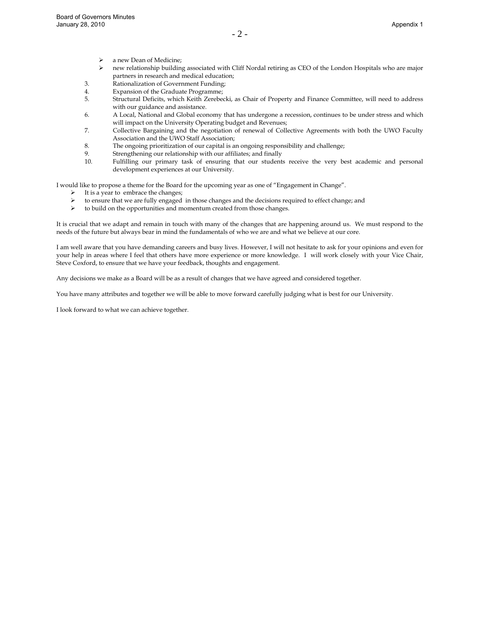- a new Dean of Medicine;
- new relationship building associated with Cliff Nordal retiring as CEO of the London Hospitals who are major partners in research and medical education;
- 3. Rationalization of Government Funding;
- 4. Expansion of the Graduate Programme;
- 5. Structural Deficits, which Keith Zerebecki, as Chair of Property and Finance Committee, will need to address with our guidance and assistance.
- 6. A Local, National and Global economy that has undergone a recession, continues to be under stress and which will impact on the University Operating budget and Revenues;
- 7. Collective Bargaining and the negotiation of renewal of Collective Agreements with both the UWO Faculty Association and the UWO Staff Association;
- 8. The ongoing prioritization of our capital is an ongoing responsibility and challenge;
- 9. Strengthening our relationship with our affiliates; and finally
- 10. Fulfilling our primary task of ensuring that our students receive the very best academic and personal development experiences at our University.

I would like to propose a theme for the Board for the upcoming year as one of "Engagement in Change".

- $\triangleright$  It is a year to embrace the changes;
	- to ensure that we are fully engaged in those changes and the decisions required to effect change; and
- $\triangleright$  to build on the opportunities and momentum created from those changes.

It is crucial that we adapt and remain in touch with many of the changes that are happening around us. We must respond to the needs of the future but always bear in mind the fundamentals of who we are and what we believe at our core.

I am well aware that you have demanding careers and busy lives. However, I will not hesitate to ask for your opinions and even for your help in areas where I feel that others have more experience or more knowledge. I will work closely with your Vice Chair, Steve Coxford, to ensure that we have your feedback, thoughts and engagement.

Any decisions we make as a Board will be as a result of changes that we have agreed and considered together.

You have many attributes and together we will be able to move forward carefully judging what is best for our University.

I look forward to what we can achieve together.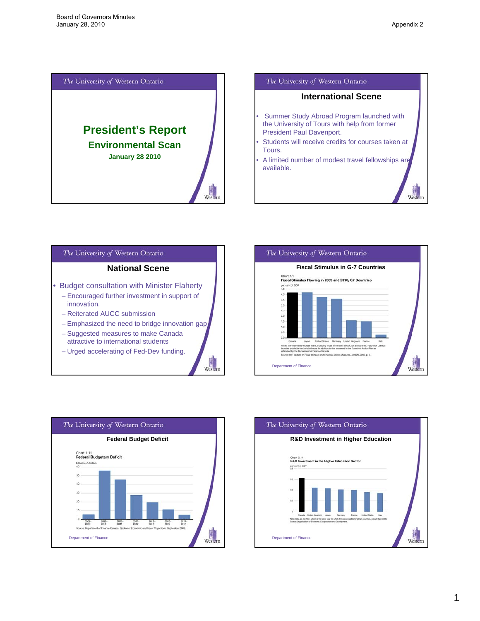<span id="page-5-0"></span>









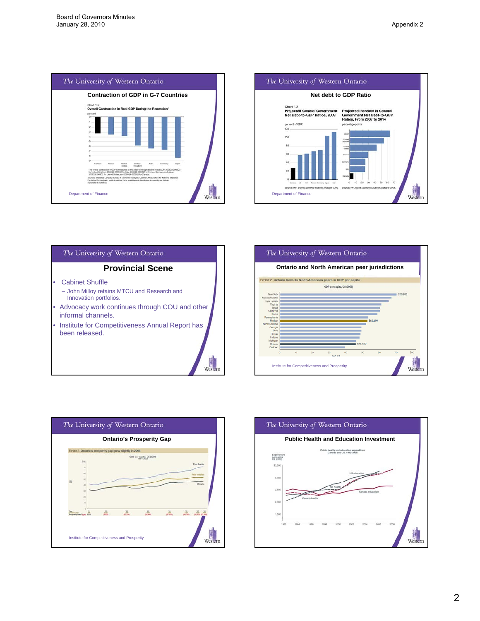









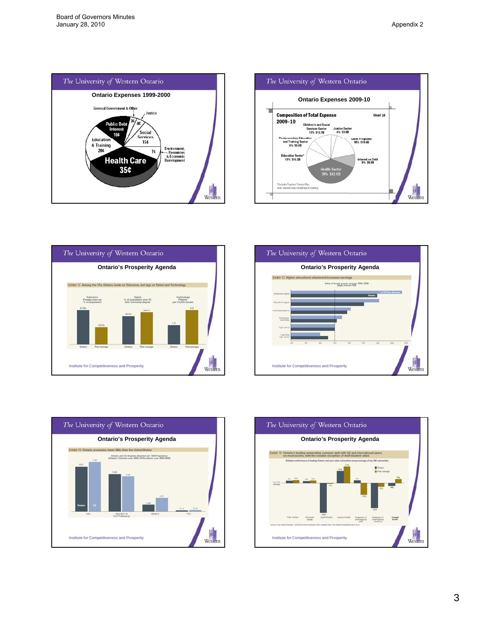









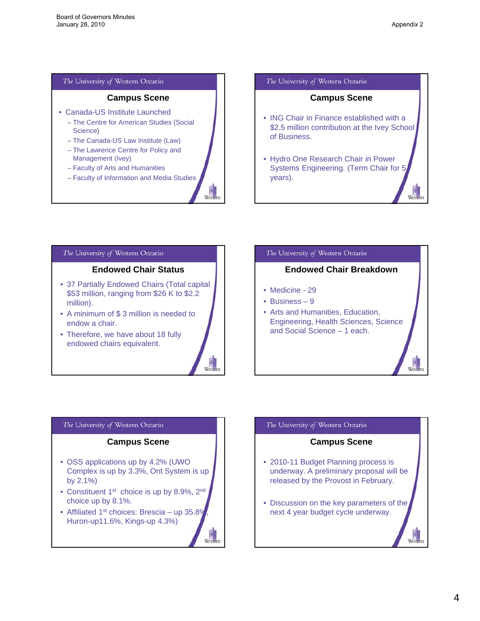West

# The University of Western Ontario

# **Campus Scene**

- Canada-US Institute Launched
	- The Centre for American Studies (Social Science)
	- The Canada-US Law Institute (Law)
	- The Lawrence Centre for Policy and Management (Ivey)
	- Faculty of Arts and Humanities
	- Faculty of Information and Media Studies

Wester

Weste

Weste

#### The University of Western Ontario

# **Campus Scene**

- ING Chair in Finance established with a \$2.5 million contribution at the Ivey School of Business.
- Hydro One Research Chair in Power Systems Engineering. (Term Chair for 5 years).

#### The University of Western Ontario

# **Endowed Chair Status**

- 37 Partially Endowed Chairs (Total capital \$53 million, ranging from \$26 K to \$2.2 million).
- A minimum of \$ 3 million is needed to endow a chair.
- Therefore, we have about 18 fully endowed chairs equivalent.



# **Endowed Chair Breakdown**

- Medicine 29
- Business 9
- Arts and Humanities, Education, Engineering, Health Sciences, Science and Social Science – 1 each.

# The University of Western Ontario

# **Campus Scene**

- OSS applications up by 4.2% (UWO Complex is up by 3.3%, Ont System is up by  $2.1\%$ )
- Constituent 1<sup>st</sup> choice is up by 8.9%, 2<sup>nd</sup> choice up by 8.1%.
- Affiliated 1<sup>st</sup> choices: Brescia up  $35.8\%$ Huron-up11.6%, Kings-up 4.3%)

# The University of Western Ontario

# **Campus Scene**

- 2010-11 Budget Planning process is underway. A preliminary proposal will be released by the Provost in February.
- Discussion on the key parameters of the next 4 year budget cycle underway.

West